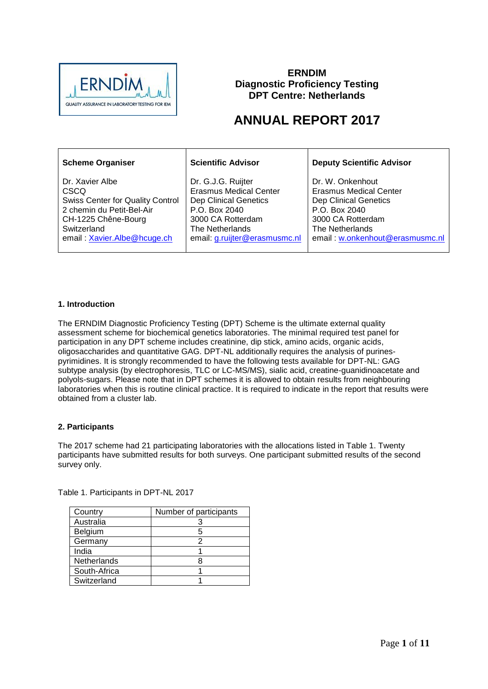

## **ERNDIM Diagnostic Proficiency Testing DPT Centre: Netherlands**

# **ANNUAL REPORT 2017**

| <b>Scheme Organiser</b>                 | <b>Scientific Advisor</b>     | <b>Deputy Scientific Advisor</b> |
|-----------------------------------------|-------------------------------|----------------------------------|
| Dr. Xavier Albe                         | Dr. G.J.G. Ruijter            | Dr. W. Onkenhout                 |
| <b>CSCQ</b>                             | <b>Erasmus Medical Center</b> | Erasmus Medical Center           |
| <b>Swiss Center for Quality Control</b> | <b>Dep Clinical Genetics</b>  | <b>Dep Clinical Genetics</b>     |
| 2 chemin du Petit-Bel-Air               | P.O. Box 2040                 | P.O. Box 2040                    |
| CH-1225 Chêne-Bourg                     | 3000 CA Rotterdam             | 3000 CA Rotterdam                |
| Switzerland                             | The Netherlands               | The Netherlands                  |
| email: Xavier.Albe@hcuge.ch             | email: g.ruijter@erasmusmc.nl | email: w.onkenhout@erasmusmc.nl  |

## **1. Introduction**

The ERNDIM Diagnostic Proficiency Testing (DPT) Scheme is the ultimate external quality assessment scheme for biochemical genetics laboratories. The minimal required test panel for participation in any DPT scheme includes creatinine, dip stick, amino acids, organic acids, oligosaccharides and quantitative GAG. DPT-NL additionally requires the analysis of purinespyrimidines. It is strongly recommended to have the following tests available for DPT-NL: GAG subtype analysis (by electrophoresis, TLC or LC-MS/MS), sialic acid, creatine-guanidinoacetate and polyols-sugars. Please note that in DPT schemes it is allowed to obtain results from neighbouring laboratories when this is routine clinical practice. It is required to indicate in the report that results were obtained from a cluster lab.

## **2. Participants**

The 2017 scheme had 21 participating laboratories with the allocations listed in Table 1. Twenty participants have submitted results for both surveys. One participant submitted results of the second survey only.

| Country        | Number of participants |
|----------------|------------------------|
| Australia      |                        |
| <b>Belgium</b> | 5                      |
| Germany        | っ                      |
| India          |                        |
| Netherlands    |                        |
| South-Africa   |                        |
| Switzerland    |                        |

Table 1. Participants in DPT-NL 2017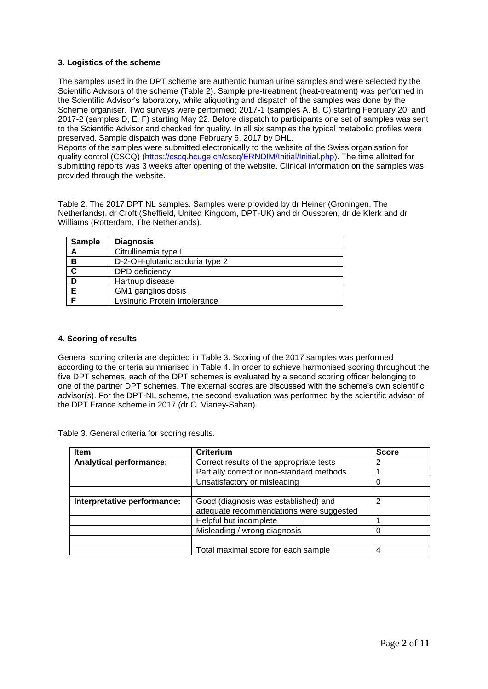## **3. Logistics of the scheme**

The samples used in the DPT scheme are authentic human urine samples and were selected by the Scientific Advisors of the scheme (Table 2). Sample pre-treatment (heat-treatment) was performed in the Scientific Advisor's laboratory, while aliquoting and dispatch of the samples was done by the Scheme organiser. Two surveys were performed; 2017-1 (samples A, B, C) starting February 20, and 2017-2 (samples D, E, F) starting May 22. Before dispatch to participants one set of samples was sent to the Scientific Advisor and checked for quality. In all six samples the typical metabolic profiles were preserved. Sample dispatch was done February 6, 2017 by DHL.

Reports of the samples were submitted electronically to the website of the Swiss organisation for quality control (CSCQ) [\(https://cscq.hcuge.ch/cscq/ERNDIM/Initial/Initial.php\)](https://cscq.hcuge.ch/cscq/ERNDIM/Initial/Initial.php). The time allotted for submitting reports was 3 weeks after opening of the website. Clinical information on the samples was provided through the website.

Table 2. The 2017 DPT NL samples. Samples were provided by dr Heiner (Groningen, The Netherlands), dr Croft (Sheffield, United Kingdom, DPT-UK) and dr Oussoren, dr de Klerk and dr Williams (Rotterdam, The Netherlands).

| <b>Sample</b> | <b>Diagnosis</b>                |
|---------------|---------------------------------|
| A             | Citrullinemia type I            |
| B             | D-2-OH-glutaric aciduria type 2 |
| C             | DPD deficiency                  |
| D             | Hartnup disease                 |
| Е             | GM1 gangliosidosis              |
|               | Lysinuric Protein Intolerance   |

#### **4. Scoring of results**

General scoring criteria are depicted in Table 3. Scoring of the 2017 samples was performed according to the criteria summarised in Table 4. In order to achieve harmonised scoring throughout the five DPT schemes, each of the DPT schemes is evaluated by a second scoring officer belonging to one of the partner DPT schemes. The external scores are discussed with the scheme's own scientific advisor(s). For the DPT-NL scheme, the second evaluation was performed by the scientific advisor of the DPT France scheme in 2017 (dr C. Vianey-Saban).

Table 3. General criteria for scoring results.

| <b>Item</b>                    | <b>Criterium</b>                          | <b>Score</b> |
|--------------------------------|-------------------------------------------|--------------|
| <b>Analytical performance:</b> | Correct results of the appropriate tests  | 2            |
|                                | Partially correct or non-standard methods |              |
|                                | Unsatisfactory or misleading              |              |
|                                |                                           |              |
| Interpretative performance:    | Good (diagnosis was established) and      | 2            |
|                                | adequate recommendations were suggested   |              |
|                                | Helpful but incomplete                    |              |
|                                | Misleading / wrong diagnosis              |              |
|                                |                                           |              |
|                                | Total maximal score for each sample       | 4            |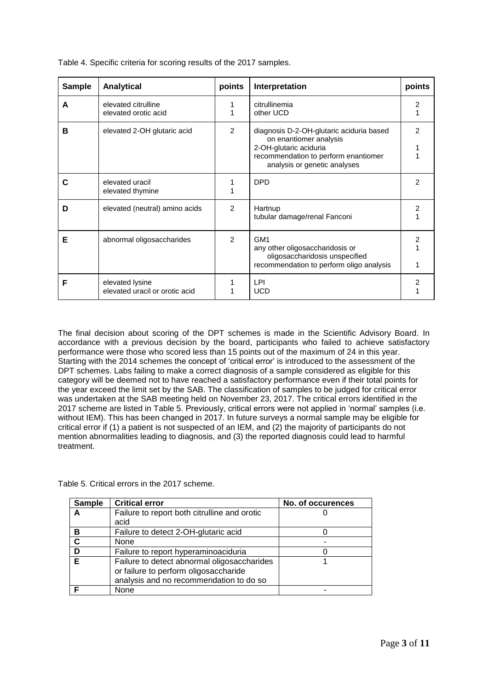| <b>Sample</b> | <b>Analytical</b>                                 | points         | Interpretation                                                                                                                                                       | points         |
|---------------|---------------------------------------------------|----------------|----------------------------------------------------------------------------------------------------------------------------------------------------------------------|----------------|
| A             | elevated citrulline<br>elevated orotic acid       | 1              | citrullinemia<br>other UCD                                                                                                                                           | 2              |
| в             | elevated 2-OH glutaric acid                       | $\overline{2}$ | diagnosis D-2-OH-glutaric aciduria based<br>on enantiomer analysis<br>2-OH-glutaric aciduria<br>recommendation to perform enantiomer<br>analysis or genetic analyses | 2              |
| С             | elevated uracil<br>elevated thymine               |                | <b>DPD</b>                                                                                                                                                           | $\overline{2}$ |
| D             | elevated (neutral) amino acids                    | 2              | Hartnup<br>tubular damage/renal Fanconi                                                                                                                              | $\overline{2}$ |
| Е             | abnormal oligosaccharides                         | $\mathcal{P}$  | GM <sub>1</sub><br>any other oligosaccharidosis or<br>oligosaccharidosis unspecified<br>recommendation to perform oligo analysis                                     | 2              |
| F             | elevated lysine<br>elevated uracil or orotic acid |                | LPI<br><b>UCD</b>                                                                                                                                                    | 2              |

Table 4. Specific criteria for scoring results of the 2017 samples.

The final decision about scoring of the DPT schemes is made in the Scientific Advisory Board. In accordance with a previous decision by the board, participants who failed to achieve satisfactory performance were those who scored less than 15 points out of the maximum of 24 in this year. Starting with the 2014 schemes the concept of 'critical error' is introduced to the assessment of the DPT schemes. Labs failing to make a correct diagnosis of a sample considered as eligible for this category will be deemed not to have reached a satisfactory performance even if their total points for the year exceed the limit set by the SAB. The classification of samples to be judged for critical error was undertaken at the SAB meeting held on November 23, 2017. The critical errors identified in the 2017 scheme are listed in Table 5. Previously, critical errors were not applied in 'normal' samples (i.e. without IEM). This has been changed in 2017. In future surveys a normal sample may be eligible for critical error if (1) a patient is not suspected of an IEM, and (2) the majority of participants do not mention abnormalities leading to diagnosis, and (3) the reported diagnosis could lead to harmful treatment.

Table 5. Critical errors in the 2017 scheme.

| <b>Sample</b> | <b>Critical error</b>                        | No. of occurences |
|---------------|----------------------------------------------|-------------------|
| А             | Failure to report both citrulline and orotic |                   |
|               | acid                                         |                   |
| в             | Failure to detect 2-OH-glutaric acid         |                   |
| C             | None                                         |                   |
|               | Failure to report hyperaminoaciduria         |                   |
| F             | Failure to detect abnormal oligosaccharides  |                   |
|               | or failure to perform oligosaccharide        |                   |
|               | analysis and no recommendation to do so      |                   |
|               | None                                         |                   |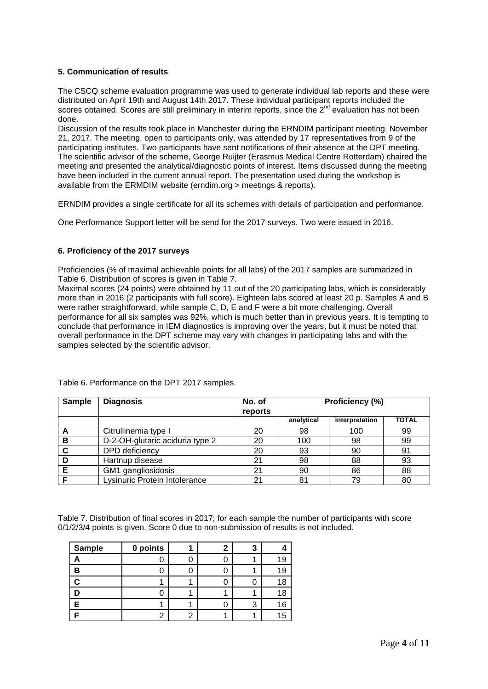## **5. Communication of results**

The CSCQ scheme evaluation programme was used to generate individual lab reports and these were distributed on April 19th and August 14th 2017. These individual participant reports included the scores obtained. Scores are still preliminary in interim reports, since the 2<sup>nd</sup> evaluation has not been done.

Discussion of the results took place in Manchester during the ERNDIM participant meeting, November 21, 2017. The meeting, open to participants only, was attended by 17 representatives from 9 of the participating institutes. Two participants have sent notifications of their absence at the DPT meeting. The scientific advisor of the scheme, George Ruijter (Erasmus Medical Centre Rotterdam) chaired the meeting and presented the analytical/diagnostic points of interest. Items discussed during the meeting have been included in the current annual report. The presentation used during the workshop is available from the ERMDIM website (erndim.org > meetings & reports).

ERNDIM provides a single certificate for all its schemes with details of participation and performance.

One Performance Support letter will be send for the 2017 surveys. Two were issued in 2016.

## **6. Proficiency of the 2017 surveys**

Proficiencies (% of maximal achievable points for all labs) of the 2017 samples are summarized in Table 6. Distribution of scores is given in Table 7.

Maximal scores (24 points) were obtained by 11 out of the 20 participating labs, which is considerably more than in 2016 (2 participants with full score). Eighteen labs scored at least 20 p. Samples A and B were rather straightforward, while sample C, D, E and F were a bit more challenging. Overall performance for all six samples was 92%, which is much better than in previous years. It is tempting to conclude that performance in IEM diagnostics is improving over the years, but it must be noted that overall performance in the DPT scheme may vary with changes in participating labs and with the samples selected by the scientific advisor.

| <b>Sample</b> | <b>Diagnosis</b>                | No. of  | Proficiency (%) |                |              |
|---------------|---------------------------------|---------|-----------------|----------------|--------------|
|               |                                 | reports |                 |                |              |
|               |                                 |         | analytical      | interpretation | <b>TOTAL</b> |
| A             | Citrullinemia type I            | 20      | 98              | 100            | 99           |
| в             | D-2-OH-glutaric aciduria type 2 | 20      | 100             | 98             | 99           |
| C             | DPD deficiency                  | 20      | 93              | 90             | 91           |
| D             | Hartnup disease                 | 21      | 98              | 88             | 93           |
| Е             | GM1 gangliosidosis              | 21      | 90              | 86             | 88           |
| c             | Lysinuric Protein Intolerance   | 21      | 81              | 79             | 80           |

Table 6. Performance on the DPT 2017 samples.

Table 7. Distribution of final scores in 2017; for each sample the number of participants with score 0/1/2/3/4 points is given. Score 0 due to non-submission of results is not included.

| Sample | 0 points |  | 3 |    |
|--------|----------|--|---|----|
|        |          |  |   |    |
|        |          |  |   |    |
|        |          |  |   | 18 |
|        |          |  |   | 18 |
|        |          |  | 3 | 16 |
|        |          |  |   | 15 |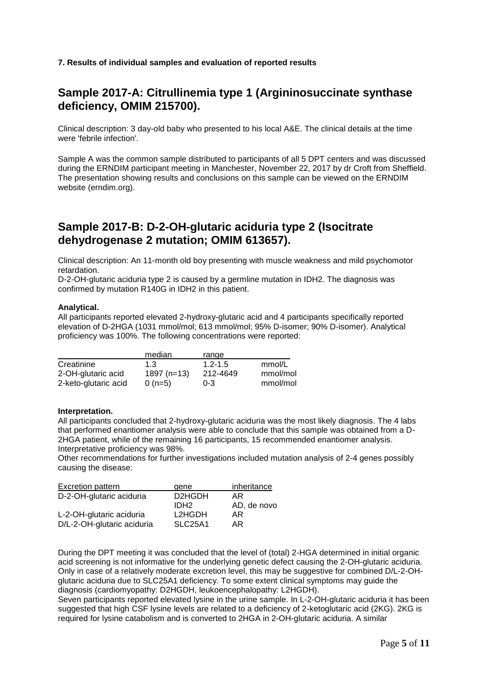**7. Results of individual samples and evaluation of reported results**

## **Sample 2017-A: Citrullinemia type 1 (Argininosuccinate synthase deficiency, OMIM 215700).**

Clinical description: 3 day-old baby who presented to his local A&E. The clinical details at the time were 'febrile infection'.

Sample A was the common sample distributed to participants of all 5 DPT centers and was discussed during the ERNDIM participant meeting in Manchester, November 22, 2017 by dr Croft from Sheffield. The presentation showing results and conclusions on this sample can be viewed on the ERNDIM website (erndim.org).

## **Sample 2017-B: D-2-OH-glutaric aciduria type 2 (Isocitrate dehydrogenase 2 mutation; OMIM 613657).**

Clinical description: An 11-month old boy presenting with muscle weakness and mild psychomotor retardation.

D-2-OH-glutaric aciduria type 2 is caused by a germline mutation in IDH2. The diagnosis was confirmed by mutation R140G in IDH2 in this patient.

## **Analytical.**

All participants reported elevated 2-hydroxy-glutaric acid and 4 participants specifically reported elevation of D-2HGA (1031 mmol/mol; 613 mmol/mol; 95% D-isomer; 90% D-isomer). Analytical proficiency was 100%. The following concentrations were reported:

|                      | median       | range       |          |
|----------------------|--------------|-------------|----------|
| Creatinine           | 1.3          | $1.2 - 1.5$ | mmol/L   |
| 2-OH-glutaric acid   | $1897(n=13)$ | 212-4649    | mmol/mol |
| 2-keto-glutaric acid | $0(n=5)$     | $0 - 3$     | mmol/mol |

#### **Interpretation.**

All participants concluded that 2-hydroxy-glutaric aciduria was the most likely diagnosis. The 4 labs that performed enantiomer analysis were able to conclude that this sample was obtained from a D-2HGA patient, while of the remaining 16 participants, 15 recommended enantiomer analysis. Interpretative proficiency was 98%.

Other recommendations for further investigations included mutation analysis of 2-4 genes possibly causing the disease:

| Excretion pattern          | gene                             | inheritance |
|----------------------------|----------------------------------|-------------|
| D-2-OH-glutaric aciduria   | D <sub>2</sub> H <sub>G</sub> DH | AR.         |
|                            | IDH <sub>2</sub>                 | AD, de novo |
| L-2-OH-glutaric aciduria   | L2HGDH                           | AR.         |
| D/L-2-OH-glutaric aciduria | SLC <sub>25</sub> A <sub>1</sub> | AR.         |

During the DPT meeting it was concluded that the level of (total) 2-HGA determined in initial organic acid screening is not informative for the underlying genetic defect causing the 2-OH-glutaric aciduria. Only in case of a relatively moderate excretion level, this may be suggestive for combined D/L-2-OHglutaric aciduria due to SLC25A1 deficiency. To some extent clinical symptoms may guide the diagnosis (cardiomyopathy: D2HGDH, leukoencephalopathy: L2HGDH).

Seven participants reported elevated lysine in the urine sample. In L-2-OH-glutaric aciduria it has been suggested that high CSF lysine levels are related to a deficiency of 2-ketoglutaric acid (2KG). 2KG is required for lysine catabolism and is converted to 2HGA in 2-OH-glutaric aciduria. A similar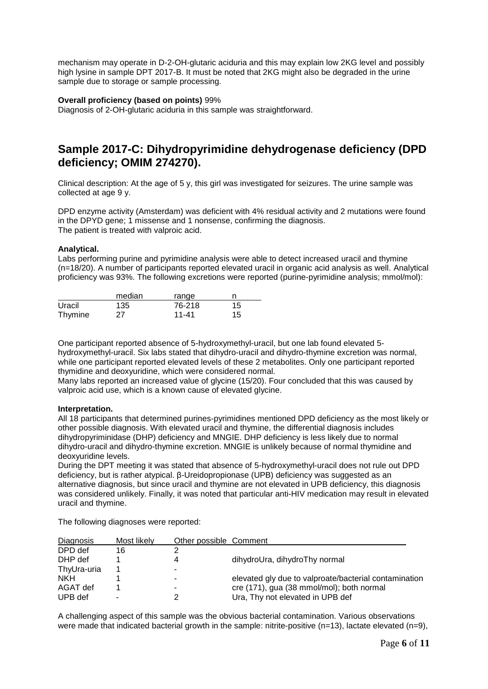mechanism may operate in D-2-OH-glutaric aciduria and this may explain low 2KG level and possibly high lysine in sample DPT 2017-B. It must be noted that 2KG might also be degraded in the urine sample due to storage or sample processing.

## **Overall proficiency (based on points)** 99%

Diagnosis of 2-OH-glutaric aciduria in this sample was straightforward.

## **Sample 2017-C: Dihydropyrimidine dehydrogenase deficiency (DPD deficiency; OMIM 274270).**

Clinical description: At the age of 5 y, this girl was investigated for seizures. The urine sample was collected at age 9 y.

DPD enzyme activity (Amsterdam) was deficient with 4% residual activity and 2 mutations were found in the DPYD gene; 1 missense and 1 nonsense, confirming the diagnosis. The patient is treated with valproic acid.

## **Analytical.**

Labs performing purine and pyrimidine analysis were able to detect increased uracil and thymine (n=18/20). A number of participants reported elevated uracil in organic acid analysis as well. Analytical proficiency was 93%. The following excretions were reported (purine-pyrimidine analysis; mmol/mol):

|                | median | range  |    |
|----------------|--------|--------|----|
| Uracil         | 135    | 76-218 | 15 |
| <b>Thymine</b> | 27     | 11-41  | 15 |

One participant reported absence of 5-hydroxymethyl-uracil, but one lab found elevated 5 hydroxymethyl-uracil. Six labs stated that dihydro-uracil and dihydro-thymine excretion was normal, while one participant reported elevated levels of these 2 metabolites. Only one participant reported thymidine and deoxyuridine, which were considered normal.

Many labs reported an increased value of glycine (15/20). Four concluded that this was caused by valproic acid use, which is a known cause of elevated glycine.

#### **Interpretation.**

All 18 participants that determined purines-pyrimidines mentioned DPD deficiency as the most likely or other possible diagnosis. With elevated uracil and thymine, the differential diagnosis includes dihydropyriminidase (DHP) deficiency and MNGIE. DHP deficiency is less likely due to normal dihydro-uracil and dihydro-thymine excretion. MNGIE is unlikely because of normal thymidine and deoxyuridine levels.

During the DPT meeting it was stated that absence of 5-hydroxymethyl-uracil does not rule out DPD deficiency, but is rather atypical. β-Ureidopropionase (UPB) deficiency was suggested as an alternative diagnosis, but since uracil and thymine are not elevated in UPB deficiency, this diagnosis was considered unlikely. Finally, it was noted that particular anti-HIV medication may result in elevated uracil and thymine.

The following diagnoses were reported:

| Diagnosis   | Most likely | Other possible Comment |                                                       |
|-------------|-------------|------------------------|-------------------------------------------------------|
| DPD def     | 16          | ົ                      |                                                       |
| DHP def     |             | 4                      | dihydroUra, dihydroThy normal                         |
| ThyUra-uria |             |                        |                                                       |
| <b>NKH</b>  |             | -                      | elevated gly due to valproate/bacterial contamination |
| AGAT def    |             |                        | cre (171), gua (38 mmol/mol); both normal             |
| UPB def     | -           |                        | Ura, Thy not elevated in UPB def                      |

A challenging aspect of this sample was the obvious bacterial contamination. Various observations were made that indicated bacterial growth in the sample: nitrite-positive (n=13), lactate elevated (n=9),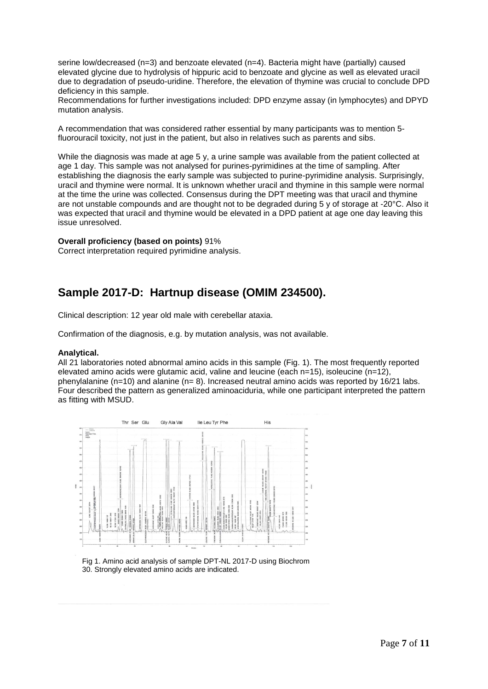serine low/decreased (n=3) and benzoate elevated (n=4). Bacteria might have (partially) caused elevated glycine due to hydrolysis of hippuric acid to benzoate and glycine as well as elevated uracil due to degradation of pseudo-uridine. Therefore, the elevation of thymine was crucial to conclude DPD deficiency in this sample.

Recommendations for further investigations included: DPD enzyme assay (in lymphocytes) and DPYD mutation analysis.

A recommendation that was considered rather essential by many participants was to mention 5 fluorouracil toxicity, not just in the patient, but also in relatives such as parents and sibs.

While the diagnosis was made at age 5 y, a urine sample was available from the patient collected at age 1 day. This sample was not analysed for purines-pyrimidines at the time of sampling. After establishing the diagnosis the early sample was subjected to purine-pyrimidine analysis. Surprisingly, uracil and thymine were normal. It is unknown whether uracil and thymine in this sample were normal at the time the urine was collected. Consensus during the DPT meeting was that uracil and thymine are not unstable compounds and are thought not to be degraded during 5 y of storage at -20°C. Also it was expected that uracil and thymine would be elevated in a DPD patient at age one day leaving this issue unresolved.

#### **Overall proficiency (based on points)** 91%

Correct interpretation required pyrimidine analysis.

## **Sample 2017-D: Hartnup disease (OMIM 234500).**

Clinical description: 12 year old male with cerebellar ataxia.

Confirmation of the diagnosis, e.g. by mutation analysis, was not available.

#### **Analytical.**

All 21 laboratories noted abnormal amino acids in this sample (Fig. 1). The most frequently reported elevated amino acids were glutamic acid, valine and leucine (each n=15), isoleucine (n=12), phenylalanine ( $n=10$ ) and alanine ( $n=8$ ). Increased neutral amino acids was reported by 16/21 labs. Four described the pattern as generalized aminoaciduria, while one participant interpreted the pattern as fitting with MSUD.



Fig 1. Amino acid analysis of sample DPT-NL 2017-D using Biochrom 30. Strongly elevated amino acids are indicated.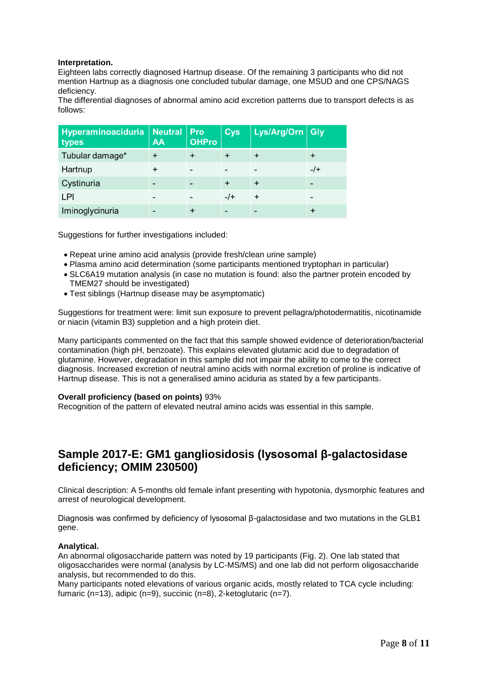#### **Interpretation.**

Eighteen labs correctly diagnosed Hartnup disease. Of the remaining 3 participants who did not mention Hartnup as a diagnosis one concluded tubular damage, one MSUD and one CPS/NAGS deficiency.

The differential diagnoses of abnormal amino acid excretion patterns due to transport defects is as follows:

| Hyperaminoaciduria<br>types | Neutral<br><b>AA</b> | Pro<br><b>OHPro</b> | Cys,   | Lys/Arg/Orn Gly |  |
|-----------------------------|----------------------|---------------------|--------|-----------------|--|
| Tubular damage*             |                      |                     |        | $\div$          |  |
| Hartnup                     |                      |                     |        |                 |  |
| Cystinuria                  |                      |                     |        | $\ddot{}$       |  |
| LPI                         |                      |                     | $-$ /+ | $\ddot{}$       |  |
| Iminoglycinuria             |                      |                     |        |                 |  |

Suggestions for further investigations included:

- Repeat urine amino acid analysis (provide fresh/clean urine sample)
- Plasma amino acid determination (some participants mentioned tryptophan in particular)
- SLC6A19 mutation analysis (in case no mutation is found: also the partner protein encoded by TMEM27 should be investigated)
- Test siblings (Hartnup disease may be asymptomatic)

Suggestions for treatment were: limit sun exposure to prevent pellagra/photodermatitis, nicotinamide or niacin (vitamin B3) suppletion and a high protein diet.

Many participants commented on the fact that this sample showed evidence of deterioration/bacterial contamination (high pH, benzoate). This explains elevated glutamic acid due to degradation of glutamine. However, degradation in this sample did not impair the ability to come to the correct diagnosis. Increased excretion of neutral amino acids with normal excretion of proline is indicative of Hartnup disease. This is not a generalised amino aciduria as stated by a few participants.

## **Overall proficiency (based on points)** 93%

Recognition of the pattern of elevated neutral amino acids was essential in this sample.

## **Sample 2017-E: GM1 gangliosidosis (lysosomal β-galactosidase deficiency; OMIM 230500)**

Clinical description: A 5-months old female infant presenting with hypotonia, dysmorphic features and arrest of neurological development.

Diagnosis was confirmed by deficiency of lysosomal β-galactosidase and two mutations in the GLB1 gene.

## **Analytical.**

An abnormal oligosaccharide pattern was noted by 19 participants (Fig. 2). One lab stated that oligosaccharides were normal (analysis by LC-MS/MS) and one lab did not perform oligosaccharide analysis, but recommended to do this.

Many participants noted elevations of various organic acids, mostly related to TCA cycle including: fumaric (n=13), adipic (n=9), succinic (n=8), 2-ketoglutaric (n=7).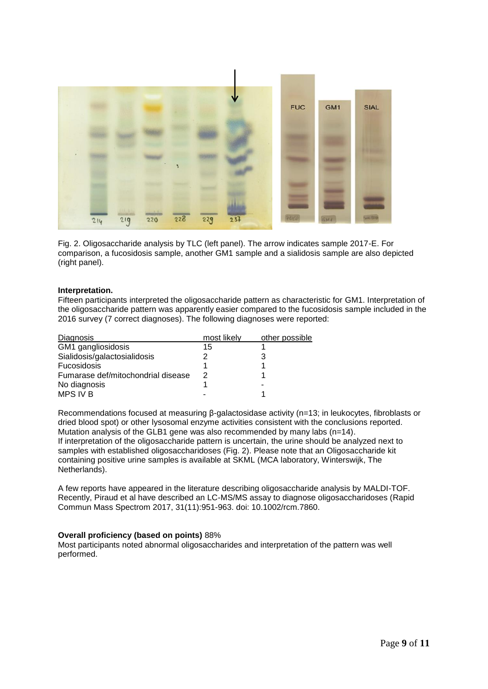

Fig. 2. Oligosaccharide analysis by TLC (left panel). The arrow indicates sample 2017-E. For comparison, a fucosidosis sample, another GM1 sample and a sialidosis sample are also depicted (right panel).

## **Interpretation.**

Fifteen participants interpreted the oligosaccharide pattern as characteristic for GM1. Interpretation of the oligosaccharide pattern was apparently easier compared to the fucosidosis sample included in the 2016 survey (7 correct diagnoses). The following diagnoses were reported:

| Diagnosis                          | most likely | other possible |
|------------------------------------|-------------|----------------|
| GM1 gangliosidosis                 | 15          |                |
| Sialidosis/galactosialidosis       |             |                |
| <b>Fucosidosis</b>                 |             |                |
| Fumarase def/mitochondrial disease | 2           |                |
| No diagnosis                       |             | -              |
| MPS IV B                           |             |                |

Recommendations focused at measuring β-galactosidase activity (n=13; in leukocytes, fibroblasts or dried blood spot) or other lysosomal enzyme activities consistent with the conclusions reported. Mutation analysis of the GLB1 gene was also recommended by many labs (n=14). If interpretation of the oligosaccharide pattern is uncertain, the urine should be analyzed next to samples with established oligosaccharidoses (Fig. 2). Please note that an Oligosaccharide kit containing positive urine samples is available at SKML (MCA laboratory, Winterswijk, The Netherlands).

A few reports have appeared in the literature describing oligosaccharide analysis by MALDI-TOF. Recently, Piraud et al have described an LC-MS/MS assay to diagnose oligosaccharidoses (Rapid Commun Mass Spectrom 2017, 31(11):951-963. doi: 10.1002/rcm.7860.

#### **Overall proficiency (based on points)** 88%

Most participants noted abnormal oligosaccharides and interpretation of the pattern was well performed.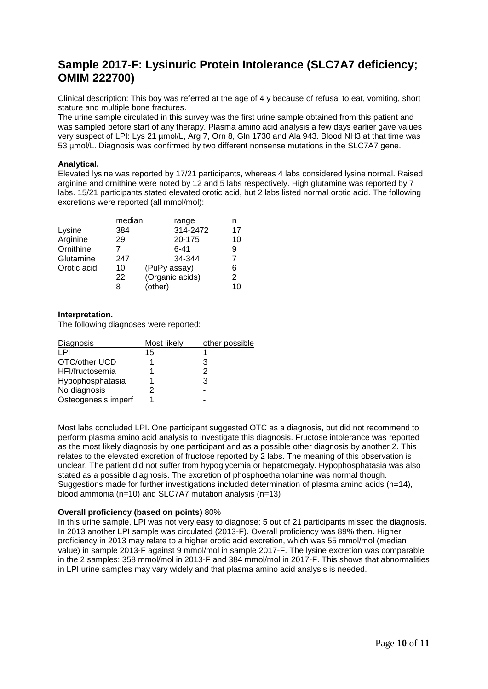## **Sample 2017-F: Lysinuric Protein Intolerance (SLC7A7 deficiency; OMIM 222700)**

Clinical description: This boy was referred at the age of 4 y because of refusal to eat, vomiting, short stature and multiple bone fractures.

The urine sample circulated in this survey was the first urine sample obtained from this patient and was sampled before start of any therapy. Plasma amino acid analysis a few days earlier gave values very suspect of LPI: Lys 21 µmol/L, Arg 7, Orn 8, Gln 1730 and Ala 943. Blood NH3 at that time was 53 µmol/L. Diagnosis was confirmed by two different nonsense mutations in the SLC7A7 gene.

## **Analytical.**

Elevated lysine was reported by 17/21 participants, whereas 4 labs considered lysine normal. Raised arginine and ornithine were noted by 12 and 5 labs respectively. High glutamine was reported by 7 labs. 15/21 participants stated elevated orotic acid, but 2 labs listed normal orotic acid. The following excretions were reported (all mmol/mol):

|             | median | range           |    |
|-------------|--------|-----------------|----|
| Lysine      | 384    | 314-2472        | 17 |
| Arginine    | 29     | 20-175          | 10 |
| Ornithine   |        | $6 - 41$        | 9  |
| Glutamine   | 247    | 34-344          |    |
| Orotic acid | 10     | (PuPy assay)    | 6  |
|             | 22     | (Organic acids) | 2  |
|             | 8      | (other)         | 10 |

## **Interpretation.**

The following diagnoses were reported:

| Diagnosis           | Most likely | other possible |
|---------------------|-------------|----------------|
| I PI                | 15          |                |
| OTC/other UCD       |             | з              |
| HFI/fructosemia     |             | 2              |
| Hypophosphatasia    |             | 3              |
| No diagnosis        | 2           |                |
| Osteogenesis imperf |             |                |

Most labs concluded LPI. One participant suggested OTC as a diagnosis, but did not recommend to perform plasma amino acid analysis to investigate this diagnosis. Fructose intolerance was reported as the most likely diagnosis by one participant and as a possible other diagnosis by another 2. This relates to the elevated excretion of fructose reported by 2 labs. The meaning of this observation is unclear. The patient did not suffer from hypoglycemia or hepatomegaly. Hypophosphatasia was also stated as a possible diagnosis. The excretion of phosphoethanolamine was normal though. Suggestions made for further investigations included determination of plasma amino acids  $(n=14)$ , blood ammonia (n=10) and SLC7A7 mutation analysis (n=13)

## **Overall proficiency (based on points)** 80%

In this urine sample, LPI was not very easy to diagnose; 5 out of 21 participants missed the diagnosis. In 2013 another LPI sample was circulated (2013-F). Overall proficiency was 89% then. Higher proficiency in 2013 may relate to a higher orotic acid excretion, which was 55 mmol/mol (median value) in sample 2013-F against 9 mmol/mol in sample 2017-F. The lysine excretion was comparable in the 2 samples: 358 mmol/mol in 2013-F and 384 mmol/mol in 2017-F. This shows that abnormalities in LPI urine samples may vary widely and that plasma amino acid analysis is needed.